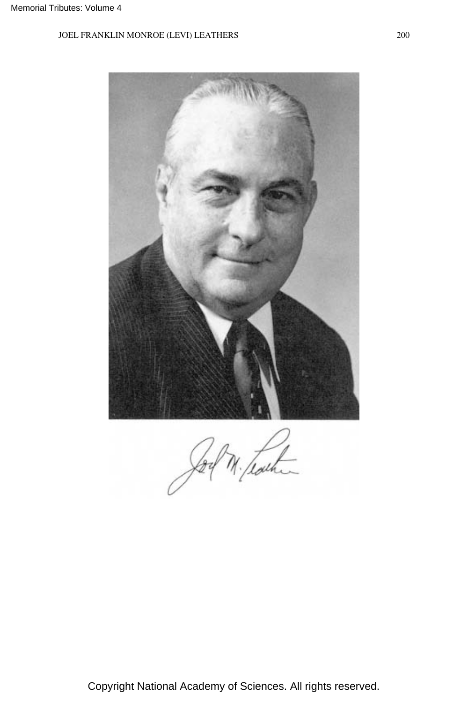

Jol M. Loute

Copyright National Academy of Sciences. All rights reserved.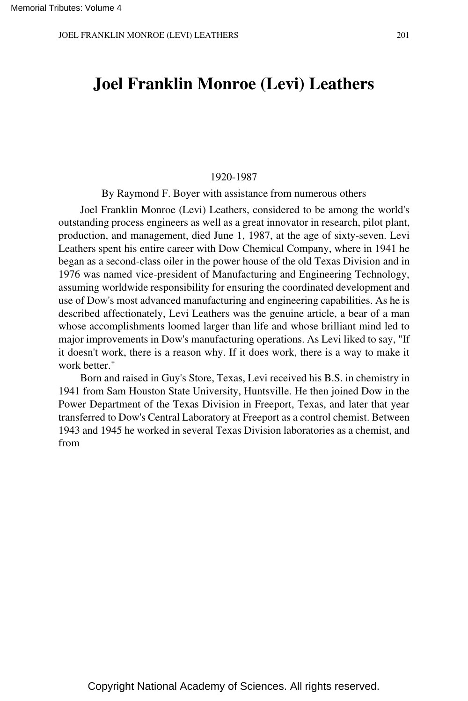# **Joel Franklin Monroe (Levi) Leathers**

#### 1920-1987

By Raymond F. Boyer with assistance from numerous others

Joel Franklin Monroe (Levi) Leathers, considered to be among the world's outstanding process engineers as well as a great innovator in research, pilot plant, production, and management, died June 1, 1987, at the age of sixty-seven. Levi Leathers spent his entire career with Dow Chemical Company, where in 1941 he began as a second-class oiler in the power house of the old Texas Division and in 1976 was named vice-president of Manufacturing and Engineering Technology, assuming worldwide responsibility for ensuring the coordinated development and use of Dow's most advanced manufacturing and engineering capabilities. As he is described affectionately, Levi Leathers was the genuine article, a bear of a man whose accomplishments loomed larger than life and whose brilliant mind led to major improvements in Dow's manufacturing operations. As Levi liked to say, "If it doesn't work, there is a reason why. If it does work, there is a way to make it work better."

Born and raised in Guy's Store, Texas, Levi received his B.S. in chemistry in 1941 from Sam Houston State University, Huntsville. He then joined Dow in the Power Department of the Texas Division in Freeport, Texas, and later that year transferred to Dow's Central Laboratory at Freeport as a control chemist. Between 1943 and 1945 he worked in several Texas Division laboratories as a chemist, and from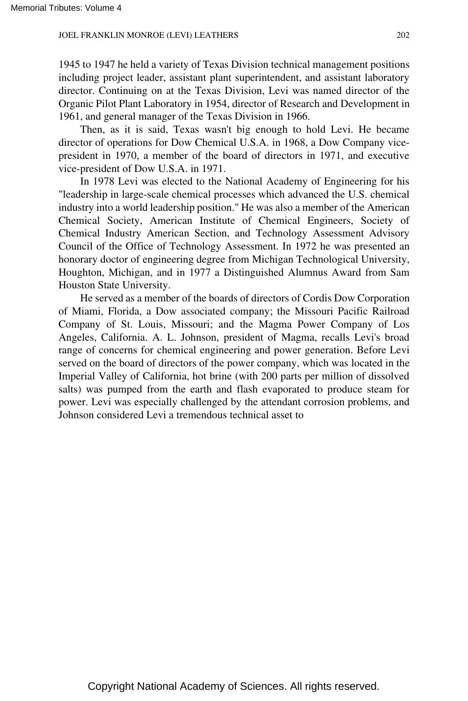1945 to 1947 he held a variety of Texas Division technical management positions including project leader, assistant plant superintendent, and assistant laboratory director. Continuing on at the Texas Division, Levi was named director of the Organic Pilot Plant Laboratory in 1954, director of Research and Development in 1961, and general manager of the Texas Division in 1966.

Then, as it is said, Texas wasn't big enough to hold Levi. He became director of operations for Dow Chemical U.S.A. in 1968, a Dow Company vicepresident in 1970, a member of the board of directors in 1971, and executive vice-president of Dow U.S.A. in 1971.

In 1978 Levi was elected to the National Academy of Engineering for his "leadership in large-scale chemical processes which advanced the U.S. chemical industry into a world leadership position." He was also a member of the American Chemical Society, American Institute of Chemical Engineers, Society of Chemical Industry American Section, and Technology Assessment Advisory Council of the Office of Technology Assessment. In 1972 he was presented an honorary doctor of engineering degree from Michigan Technological University, Houghton, Michigan, and in 1977 a Distinguished Alumnus Award from Sam Houston State University.

He served as a member of the boards of directors of Cordis Dow Corporation of Miami, Florida, a Dow associated company; the Missouri Pacific Railroad Company of St. Louis, Missouri; and the Magma Power Company of Los Angeles, California. A. L. Johnson, president of Magma, recalls Levi's broad range of concerns for chemical engineering and power generation. Before Levi served on the board of directors of the power company, which was located in the Imperial Valley of California, hot brine (with 200 parts per million of dissolved salts) was pumped from the earth and flash evaporated to produce steam for power. Levi was especially challenged by the attendant corrosion problems, and Johnson considered Levi a tremendous technical asset to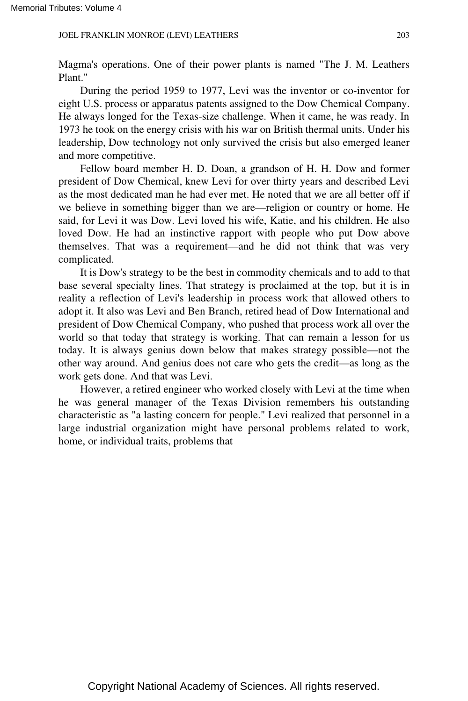Magma's operations. One of their power plants is named "The J. M. Leathers Plant."

During the period 1959 to 1977, Levi was the inventor or co-inventor for eight U.S. process or apparatus patents assigned to the Dow Chemical Company. He always longed for the Texas-size challenge. When it came, he was ready. In 1973 he took on the energy crisis with his war on British thermal units. Under his leadership, Dow technology not only survived the crisis but also emerged leaner and more competitive.

Fellow board member H. D. Doan, a grandson of H. H. Dow and former president of Dow Chemical, knew Levi for over thirty years and described Levi as the most dedicated man he had ever met. He noted that we are all better off if we believe in something bigger than we are—religion or country or home. He said, for Levi it was Dow. Levi loved his wife, Katie, and his children. He also loved Dow. He had an instinctive rapport with people who put Dow above themselves. That was a requirement—and he did not think that was very complicated.

It is Dow's strategy to be the best in commodity chemicals and to add to that base several specialty lines. That strategy is proclaimed at the top, but it is in reality a reflection of Levi's leadership in process work that allowed others to adopt it. It also was Levi and Ben Branch, retired head of Dow International and president of Dow Chemical Company, who pushed that process work all over the world so that today that strategy is working. That can remain a lesson for us today. It is always genius down below that makes strategy possible—not the other way around. And genius does not care who gets the credit—as long as the work gets done. And that was Levi.

However, a retired engineer who worked closely with Levi at the time when he was general manager of the Texas Division remembers his outstanding characteristic as "a lasting concern for people." Levi realized that personnel in a large industrial organization might have personal problems related to work, home, or individual traits, problems that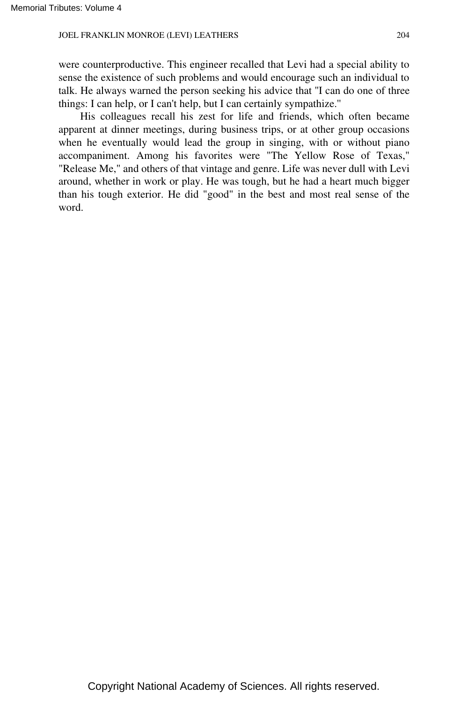were counterproductive. This engineer recalled that Levi had a special ability to sense the existence of such problems and would encourage such an individual to talk. He always warned the person seeking his advice that ''I can do one of three things: I can help, or I can't help, but I can certainly sympathize.''

His colleagues recall his zest for life and friends, which often became apparent at dinner meetings, during business trips, or at other group occasions when he eventually would lead the group in singing, with or without piano accompaniment. Among his favorites were "The Yellow Rose of Texas," "Release Me," and others of that vintage and genre. Life was never dull with Levi around, whether in work or play. He was tough, but he had a heart much bigger than his tough exterior. He did "good" in the best and most real sense of the word.